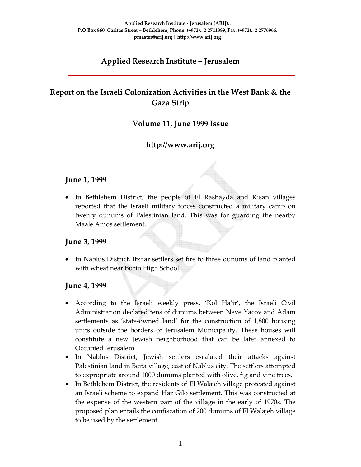# **Applied Research Institute – Jerusalem**

# **Report on the Israeli Colonization Activities in the West Bank & the Gaza Strip**

### **Volume 11, June 1999 Issue**

# **http://www.arij.org**

#### **June 1, 1999**

• In Bethlehem District, the people of El Rashayda and Kisan villages reported that the Israeli military forces constructed a military camp on twenty dunums of Palestinian land. This was for guarding the nearby Maale Amos settlement.

### **June 3, 1999**

• In Nablus District, Itzhar settlers set fire to three dunums of land planted with wheat near Burin High School.

### **June 4, 1999**

- According to the Israeli weekly press, 'Kol Ha'ir', the Israeli Civil Administration declared tens of dunums between Neve Yacov and Adam settlements as 'state-owned land' for the construction of 1,800 housing units outside the borders of Jerusalem Municipality. These houses will constitute a new Jewish neighborhood that can be later annexed to Occupied Jerusalem.
- In Nablus District, Jewish settlers escalated their attacks against Palestinian land in Beita village, east of Nablus city. The settlers attempted to expropriate around 1000 dunums planted with olive, fig and vine trees.
- In Bethlehem District, the residents of El Walajeh village protested against an Israeli scheme to expand Har Gilo settlement. This was constructed at the expense of the western part of the village in the early of 1970s. The proposed plan entails the confiscation of 200 dunums of El Walajeh village to be used by the settlement.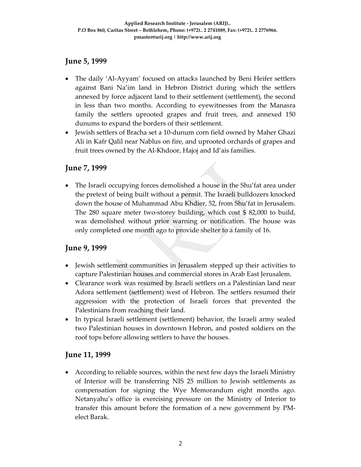### **June 5, 1999**

- The daily 'Al-Ayyam' focused on attacks launched by Beni Heifer settlers against Bani Na'im land in Hebron District during which the settlers annexed by force adjacent land to their settlement (settlement), the second in less than two months. According to eyewitnesses from the Manasra family the settlers uprooted grapes and fruit trees, and annexed 150 dunums to expand the borders of their settlement.
- Jewish settlers of Bracha set a 10‐dunum corn field owned by Maher Ghazi Ali in Kafr Qalil near Nablus on fire, and uprooted orchards of grapes and fruit trees owned by the Al‐Khdoor, Hajoj and Id'ais families.

### **June 7, 1999**

• The Israeli occupying forces demolished a house in the Shu'fat area under the pretext of being built without a permit. The Israeli bulldozers knocked down the house of Muhammad Abu Khdier, 52, from Shu'fat in Jerusalem. The 280 square meter two-storey building, which cost \$ 82,000 to build, was demolished without prior warning or notification. The house was only completed one month ago to provide shelter to a family of 16.

### **June 9, 1999**

- Jewish settlement communities in Jerusalem stepped up their activities to capture Palestinian houses and commercial stores in Arab East Jerusalem.
- Clearance work was resumed by Israeli settlers on a Palestinian land near Adora settlement (settlement) west of Hebron. The settlers resumed their aggression with the protection of Israeli forces that prevented the Palestinians from reaching their land.
- In typical Israeli settlement (settlement) behavior, the Israeli army sealed two Palestinian houses in downtown Hebron, and posted soldiers on the roof tops before allowing settlers to have the houses.

### **June 11, 1999**

• According to reliable sources, within the next few days the Israeli Ministry of Interior will be transferring NIS 25 million to Jewish settlements as compensation for signing the Wye Memorandum eight months ago. Netanyahu's office is exercising pressure on the Ministry of Interior to transfer this amount before the formation of a new government by PM‐ elect Barak.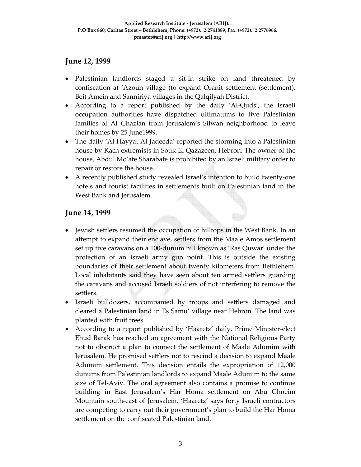### **June 12, 1999**

- Palestinian landlords staged a sit-in strike on land threatened by confiscation at 'Azoun village (to expand Oranit settlement (settlement), Beit Amein and Sanniriya villages in the Qalqilyah District.
- According to a report published by the daily 'Al-Quds', the Israeli occupation authorities have dispatched ultimatums to five Palestinian families of Al Ghazlan from Jerusalem's Silwan neighborhood to leave their homes by 25 June1999.
- The daily 'Al Hayyat Al‐Jadeeda' reported the storming into a Palestinian house by Kach extremists in Souk El Qazazeen, Hebron. The owner of the house, Abdul Mo'ate Sharabate is prohibited by an Israeli military order to repair or restore the house.
- A recently published study revealed Israel's intention to build twenty-one hotels and tourist facilities in settlements built on Palestinian land in the West Bank and Jerusalem.

### **June 14, 1999**

- Jewish settlers resumed the occupation of hilltops in the West Bank. In an attempt to expand their enclave, settlers from the Maale Amos settlement set up five caravans on a 100‐dunum hill known as 'Ras Quwar' under the protection of an Israeli army gun point. This is outside the existing boundaries of their settlement about twenty kilometers from Bethlehem. Local inhabitants said they have seen about ten armed settlers guarding the caravans and accused Israeli soldiers of not interfering to remove the settlers.
- Israeli bulldozers, accompanied by troops and settlers damaged and cleared a Palestinian land in Es Samu' village near Hebron. The land was planted with fruit trees.
- According to a report published by 'Haaretz' daily, Prime Minister‐elect Ehud Barak has reached an agreement with the National Religious Party not to obstruct a plan to connect the settlement of Maale Adumim with Jerusalem. He promised settlers not to rescind a decision to expand Maale Adumim settlement. This decision entails the expropriation of 12,000 dunums from Palestinian landlords to expand Maale Adumim to the same size of Tel‐Aviv. The oral agreement also contains a promise to continue building in East Jerusalem's Har Homa settlement on Abu Ghneim Mountain south‐east of Jerusalem. 'Haaretz' says forty Israeli contractors are competing to carry out their government's plan to build the Har Homa settlement on the confiscated Palestinian land.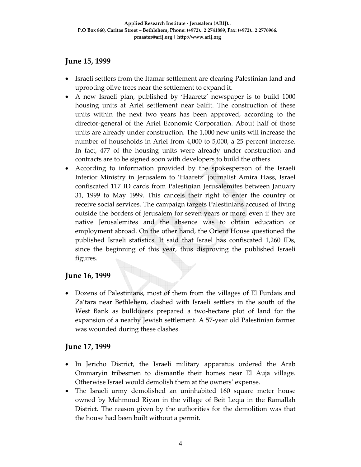### **June 15, 1999**

- Israeli settlers from the Itamar settlement are clearing Palestinian land and uprooting olive trees near the settlement to expand it.
- A new Israeli plan, published by 'Haaretz' newspaper is to build 1000 housing units at Ariel settlement near Salfit. The construction of these units within the next two years has been approved, according to the director‐general of the Ariel Economic Corporation. About half of those units are already under construction. The 1,000 new units will increase the number of households in Ariel from 4,000 to 5,000, a 25 percent increase. In fact, 477 of the housing units were already under construction and contracts are to be signed soon with developers to build the others.
- According to information provided by the spokesperson of the Israeli Interior Ministry in Jerusalem to 'Haaretz' journalist Amira Hass, Israel confiscated 117 ID cards from Palestinian Jerusalemites between January 31, 1999 to May 1999. This cancels their right to enter the country or receive social services. The campaign targets Palestinians accused of living outside the borders of Jerusalem for seven years or more, even if they are native Jerusalemites and the absence was to obtain education or employment abroad. On the other hand, the Orient House questioned the published Israeli statistics. It said that Israel has confiscated 1,260 IDs, since the beginning of this year, thus disproving the published Israeli figures.

## **June 16, 1999**

• Dozens of Palestinians, most of them from the villages of El Furdais and Za'tara near Bethlehem, clashed with Israeli settlers in the south of the West Bank as bulldozers prepared a two-hectare plot of land for the expansion of a nearby Jewish settlement. A 57‐year old Palestinian farmer was wounded during these clashes.

## **June 17, 1999**

- In Jericho District, the Israeli military apparatus ordered the Arab Ommaryin tribesmen to dismantle their homes near El Auja village. Otherwise Israel would demolish them at the owners' expense.
- The Israeli army demolished an uninhabited 160 square meter house owned by Mahmoud Riyan in the village of Beit Leqia in the Ramallah District. The reason given by the authorities for the demolition was that the house had been built without a permit.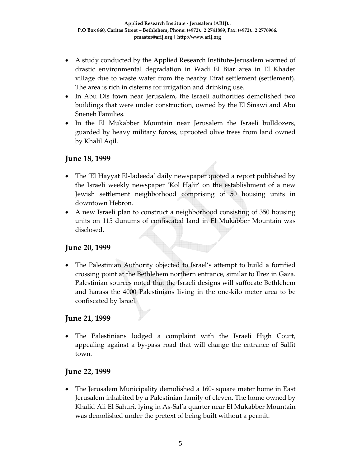- A study conducted by the Applied Research Institute-Jerusalem warned of drastic environmental degradation in Wadi El Biar area in El Khader village due to waste water from the nearby Efrat settlement (settlement). The area is rich in cisterns for irrigation and drinking use.
- In Abu Dis town near Jerusalem, the Israeli authorities demolished two buildings that were under construction, owned by the El Sinawi and Abu Sneneh Families.
- In the El Mukabber Mountain near Jerusalem the Israeli bulldozers, guarded by heavy military forces, uprooted olive trees from land owned by Khalil Aqil.

### **June 18, 1999**

- The 'El Hayyat El-Jadeeda' daily newspaper quoted a report published by the Israeli weekly newspaper 'Kol Ha'ir' on the establishment of a new Jewish settlement neighborhood comprising of 50 housing units in downtown Hebron.
- A new Israeli plan to construct a neighborhood consisting of 350 housing units on 115 dunums of confiscated land in El Mukabber Mountain was disclosed.

#### **June 20, 1999**

• The Palestinian Authority objected to Israel's attempt to build a fortified crossing point at the Bethlehem northern entrance, similar to Erez in Gaza. Palestinian sources noted that the Israeli designs will suffocate Bethlehem and harass the 4000 Palestinians living in the one‐kilo meter area to be confiscated by Israel.

### **June 21, 1999**

• The Palestinians lodged a complaint with the Israeli High Court, appealing against a by‐pass road that will change the entrance of Salfit town.

#### **June 22, 1999**

• The Jerusalem Municipality demolished a 160- square meter home in East Jerusalem inhabited by a Palestinian family of eleven. The home owned by Khalid Ali El Sahuri, lying in As‐Sal'a quarter near El Mukabber Mountain was demolished under the pretext of being built without a permit.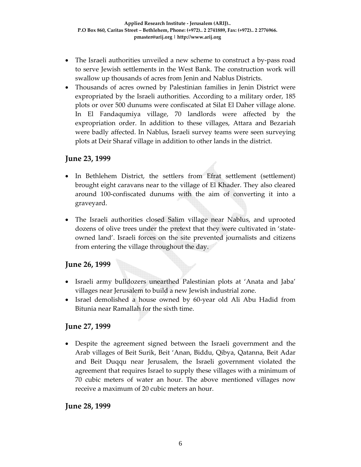- The Israeli authorities unveiled a new scheme to construct a by-pass road to serve Jewish settlements in the West Bank. The construction work will swallow up thousands of acres from Jenin and Nablus Districts.
- Thousands of acres owned by Palestinian families in Jenin District were expropriated by the Israeli authorities. According to a military order, 185 plots or over 500 dunums were confiscated at Silat El Daher village alone. In El Fandaqumiya village, 70 landlords were affected by the expropriation order. In addition to these villages, Attara and Bezariah were badly affected. In Nablus, Israeli survey teams were seen surveying plots at Deir Sharaf village in addition to other lands in the district.

### **June 23, 1999**

- In Bethlehem District, the settlers from Efrat settlement (settlement) brought eight caravans near to the village of El Khader. They also cleared around 100‐confiscated dunums with the aim of converting it into a graveyard.
- The Israeli authorities closed Salim village near Nablus, and uprooted dozens of olive trees under the pretext that they were cultivated in 'state‐ owned land'. Israeli forces on the site prevented journalists and citizens from entering the village throughout the day.

## **June 26, 1999**

- Israeli army bulldozers unearthed Palestinian plots at 'Anata and Jaba' villages near Jerusalem to build a new Jewish industrial zone.
- Israel demolished a house owned by 60-year old Ali Abu Hadid from Bitunia near Ramallah for the sixth time.

## **June 27, 1999**

• Despite the agreement signed between the Israeli government and the Arab villages of Beit Surik, Beit 'Anan, Biddu, Qibya, Qatanna, Beit Adar and Beit Duqqu near Jerusalem, the Israeli government violated the agreement that requires Israel to supply these villages with a minimum of 70 cubic meters of water an hour. The above mentioned villages now receive a maximum of 20 cubic meters an hour.

### **June 28, 1999**